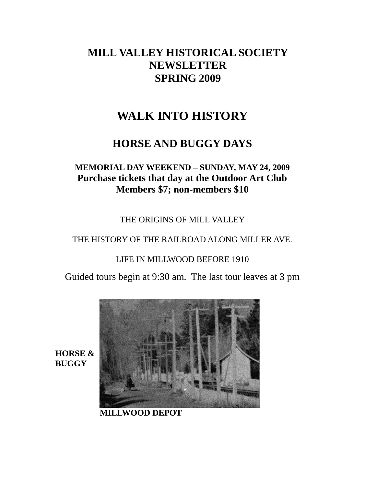## **MILL VALLEY HISTORICAL SOCIETY NEWSLETTER SPRING 2009**

# **WALK INTO HISTORY**

## **HORSE AND BUGGY DAYS**

## **MEMORIAL DAY WEEKEND – SUNDAY, MAY 24, 2009 Purchase tickets that day at the Outdoor Art Club Members \$7; non-members \$10**

THE ORIGINS OF MILL VALLEY

THE HISTORY OF THE RAILROAD ALONG MILLER AVE.

LIFE IN MILLWOOD BEFORE 1910

Guided tours begin at 9:30 am. The last tour leaves at 3 pm



**HORSE & BUGGY**

**MILLWOOD DEPOT**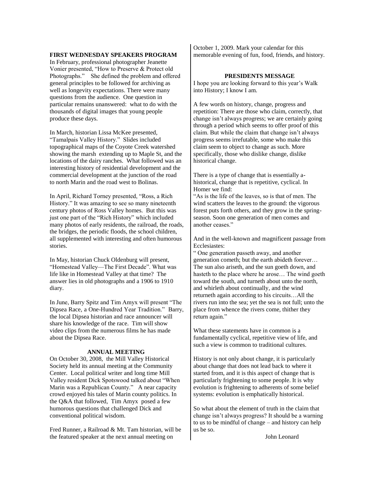#### **FIRST WEDNESDAY SPEAKERS PROGRAM**

In February, professional photographer Jeanette Vonier presented, "How to Preserve & Protect old Photographs." She defined the problem and offered general principles to be followed for archiving as well as longevity expectations. There were many questions from the audience. One question in particular remains unanswered: what to do with the thousands of digital images that young people produce these days.

In March, historian Lissa McKee presented, ―Tamalpais Valley History.‖ Slides included topographical maps of the Coyote Creek watershed showing the marsh extending up to Maple St, and the locations of the dairy ranches. What followed was an interesting history of residential development and the commercial development at the junction of the road to north Marin and the road west to Bolinas.

In April, Richard Torney presented, "Ross, a Rich History." It was amazing to see so many nineteenth century photos of Ross Valley homes. But this was just one part of the "Rich History" which included many photos of early residents, the railroad, the roads, the bridges, the periodic floods, the school children, all supplemented with interesting and often humorous stories.

In May, historian Chuck Oldenburg will present, "Homestead Valley-The First Decade". What was life like in Homestead Valley at that time? The answer lies in old photographs and a 1906 to 1910 diary.

In June, Barry Spitz and Tim Amyx will present "The Dipsea Race, a One-Hundred Year Tradition." Barry, the local Dipsea historian and race announcer will share his knowledge of the race. Tim will show video clips from the numerous films he has made about the Dipsea Race.

#### **ANNUAL MEETING**

On October 30, 2008, the Mill Valley Historical Society held its annual meeting at the Community Center. Local political writer and long time Mill Valley resident Dick Spotswood talked about "When Marin was a Republican County." A near capacity crowd enjoyed his tales of Marin county politics. In the Q&A that followed, Tim Amyx posed a few humorous questions that challenged Dick and conventional political wisdom.

Fred Runner, a Railroad & Mt. Tam historian, will be the featured speaker at the next annual meeting on

October 1, 2009. Mark your calendar for this memorable evening of fun, food, friends, and history.

#### **PRESIDENTS MESSAGE**

I hope you are looking forward to this year's Walk into History; I know I am.

A few words on history, change, progress and repetition: There are those who claim, correctly, that change isn't always progress; we are certainly going through a period which seems to offer proof of this claim. But while the claim that change isn't always progress seems irrefutable, some who make this claim seem to object to change as such. More specifically, those who dislike change, dislike historical change.

There is a type of change that is essentially ahistorical, change that is repetitive, cyclical. In Homer we find:

―As is the life of the leaves, so is that of men. The wind scatters the leaves to the ground: the vigorous forest puts forth others, and they grow in the springseason. Soon one generation of men comes and another ceases."

And in the well-known and magnificent passage from Ecclesiastes:

― One generation passeth away, and another generation cometh; but the earth abideth forever… The sun also ariseth, and the sun goeth down, and hasteth to the place where he arose… The wind goeth toward the south, and turneth about unto the north, and whirleth about continually, and the wind returneth again according to his circuits…All the rivers run into the sea; yet the sea is not full; unto the place from whence the rivers come, thither they return again."

What these statements have in common is a fundamentally cyclical, repetitive view of life, and such a view is common to traditional cultures.

History is not only about change, it is particularly about change that does not lead back to where it started from, and it is this aspect of change that is particularly frightening to some people. It is why evolution is frightening to adherents of some belief systems: evolution is emphatically historical.

So what about the element of truth in the claim that change isn't always progress? It should be a warning to us to be mindful of change – and history can help us be so.

John Leonard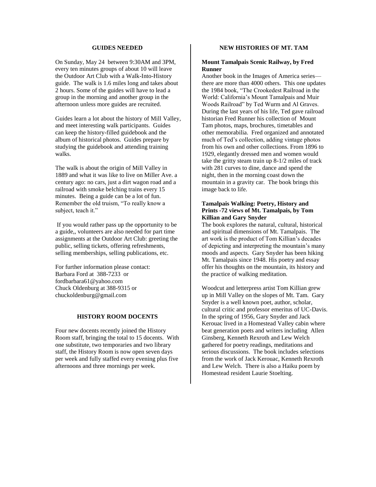#### **GUIDES NEEDED**

On Sunday, May 24 between 9:30AM and 3PM, every ten minutes groups of about 10 will leave the Outdoor Art Club with a Walk-Into-History guide. The walk is 1.6 miles long and takes about 2 hours. Some of the guides will have to lead a group in the morning and another group in the afternoon unless more guides are recruited.

Guides learn a lot about the history of Mill Valley, and meet interesting walk participants. Guides can keep the history-filled guidebook and the album of historical photos. Guides prepare by studying the guidebook and attending training walks.

The walk is about the origin of Mill Valley in 1889 and what it was like to live on Miller Ave. a century ago: no cars, just a dirt wagon road and a railroad with smoke belching trains every 15 minutes. Being a guide can be a lot of fun. Remember the old truism, "To really know a subject, teach it."

If you would rather pass up the opportunity to be a guide,, volunteers are also needed for part time assignments at the Outdoor Art Club: greeting the public, selling tickets, offering refreshments, selling memberships, selling publications, etc.

For further information please contact: Barbara Ford at 388-7233 or fordbarbara61@yahoo.com Chuck Oldenburg at 388-9315 or chuckoldenburg@gmail.com

#### **HISTORY ROOM DOCENTS**

Four new docents recently joined the History Room staff, bringing the total to 15 docents. With one substitute, two temporaries and two library staff, the History Room is now open seven days per week and fully staffed every evening plus five afternoons and three mornings per week.

#### **NEW HISTORIES OF MT. TAM**

#### **Mount Tamalpais Scenic Railway, by Fred Runner**

Another book in the Images of America series there are more than 4000 others. This one updates the 1984 book, "The Crookedest Railroad in the World: California's Mount Tamalpais and Muir Woods Railroad" by Ted Wurm and Al Graves. During the last years of his life, Ted gave railroad historian Fred Runner his collection of Mount Tam photos, maps, brochures, timetables and other memorabilia. Fred organized and annotated much of Ted's collection, adding vintage photos from his own and other collections. From 1896 to 1929, elegantly dressed men and women would take the gritty steam train up 8-1/2 miles of track with 281 curves to dine, dance and spend the night, then in the morning coast down the mountain in a gravity car. The book brings this image back to life.

#### **Tamalpais Walking: Poetry, History and Prints -72 views of Mt. Tamalpais, by Tom Killian and Gary Snyder**

The book explores the natural, cultural, historical and spiritual dimensions of Mt. Tamalpais. The art work is the product of Tom Killian's decades of depicting and interpreting the mountain's many moods and aspects. Gary Snyder has been hiking Mt. Tamalpais since 1948. His poetry and essay offer his thoughts on the mountain, its history and the practice of walking meditation.

Woodcut and letterpress artist Tom Killian grew up in Mill Valley on the slopes of Mt. Tam. Gary Snyder is a well known poet, author, scholar, cultural critic and professor emeritus of UC-Davis. In the spring of 1956, Gary Snyder and Jack Kerouac lived in a Homestead Valley cabin where beat generation poets and writers including Allen Ginsberg, Kenneth Rexroth and Lew Welch gathered for poetry readings, meditations and serious discussions. The book includes selections from the work of Jack Kerouac, Kenneth Rexroth and Lew Welch. There is also a Haiku poem by Homestead resident Laurie Stoelting.